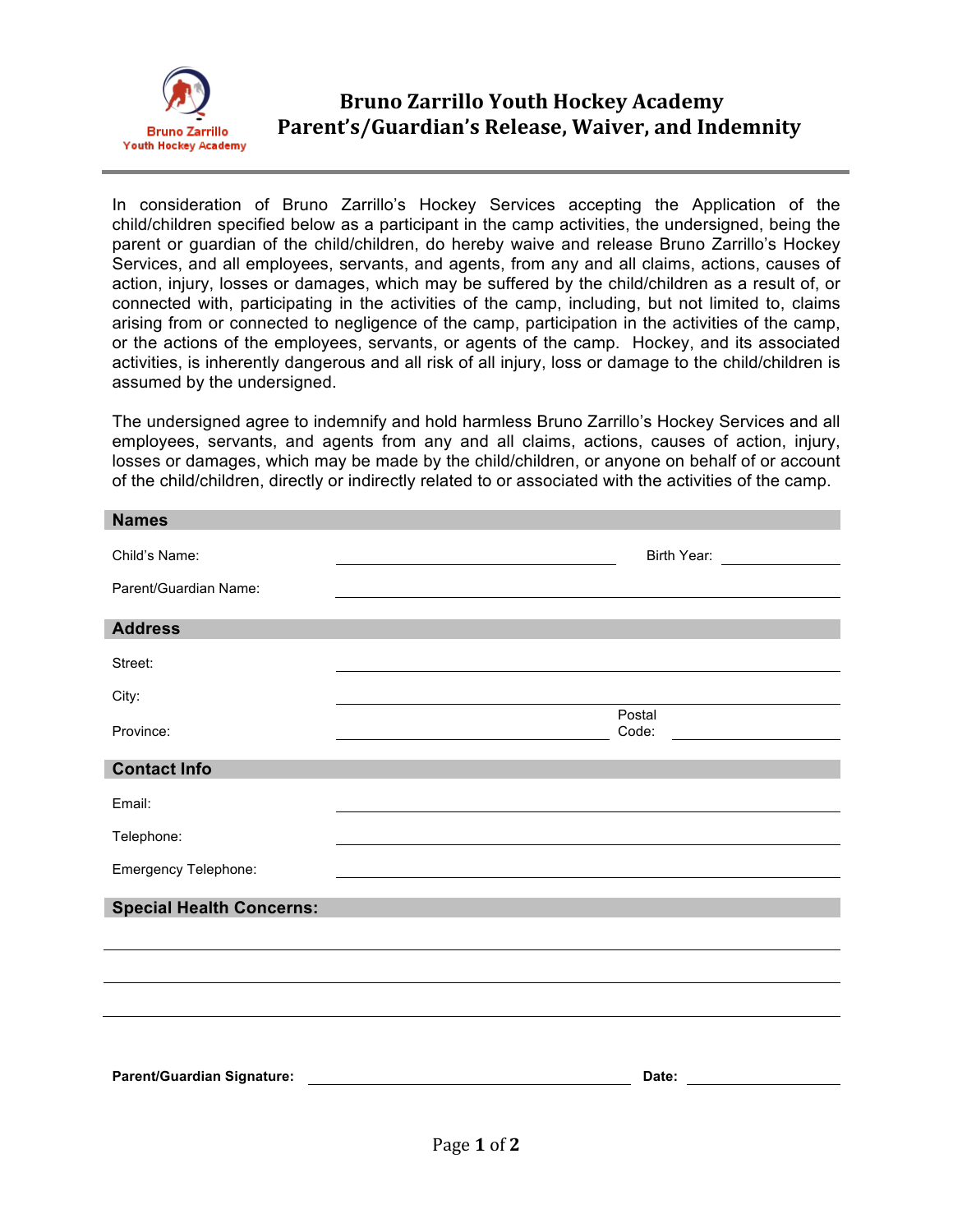

## **Bruno Zarrillo Youth Hockey Academy** Parent's/Guardian's Release, Waiver, and Indemnity

In consideration of Bruno Zarrillo's Hockey Services accepting the Application of the child/children specified below as a participant in the camp activities, the undersigned, being the parent or guardian of the child/children, do hereby waive and release Bruno Zarrillo's Hockey Services, and all employees, servants, and agents, from any and all claims, actions, causes of action, injury, losses or damages, which may be suffered by the child/children as a result of, or connected with, participating in the activities of the camp, including, but not limited to, claims arising from or connected to negligence of the camp, participation in the activities of the camp, or the actions of the employees, servants, or agents of the camp. Hockey, and its associated activities, is inherently dangerous and all risk of all injury, loss or damage to the child/children is assumed by the undersigned.

The undersigned agree to indemnify and hold harmless Bruno Zarrillo's Hockey Services and all employees, servants, and agents from any and all claims, actions, causes of action, injury, losses or damages, which may be made by the child/children, or anyone on behalf of or account of the child/children, directly or indirectly related to or associated with the activities of the camp.

| <b>Names</b>                      |                                                                                                                                                                                                                               |
|-----------------------------------|-------------------------------------------------------------------------------------------------------------------------------------------------------------------------------------------------------------------------------|
| Child's Name:                     | Birth Year: _________________                                                                                                                                                                                                 |
| Parent/Guardian Name:             | the control of the control of the control of the control of the control of the control of the control of the control of the control of the control of the control of the control of the control of the control of the control |
| <b>Address</b>                    |                                                                                                                                                                                                                               |
| Street:                           |                                                                                                                                                                                                                               |
| City:                             |                                                                                                                                                                                                                               |
| Province:                         | Postal<br>Code:<br><u> 1980 - Johann Barn, mars ann an t-Amhain Aonaich an t-Aonaich an t-Aonaich ann an t-Aonaich ann an t-Aonaich</u>                                                                                       |
| <b>Contact Info</b>               |                                                                                                                                                                                                                               |
| Email:                            |                                                                                                                                                                                                                               |
| Telephone:                        |                                                                                                                                                                                                                               |
| Emergency Telephone:              |                                                                                                                                                                                                                               |
| <b>Special Health Concerns:</b>   |                                                                                                                                                                                                                               |
|                                   |                                                                                                                                                                                                                               |
|                                   |                                                                                                                                                                                                                               |
|                                   |                                                                                                                                                                                                                               |
|                                   |                                                                                                                                                                                                                               |
| <b>Parent/Guardian Signature:</b> | <u> 1989 - Jan Barnett, fransk politiker (d. 1989)</u>                                                                                                                                                                        |
|                                   |                                                                                                                                                                                                                               |